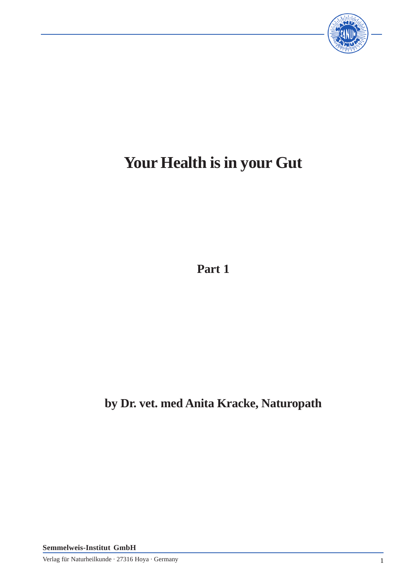

# **Your Health is in your Gut**

**Part 1**

**by Dr. vet. med Anita Kracke, Naturopath**

**Semmelweis-Institut GmbH**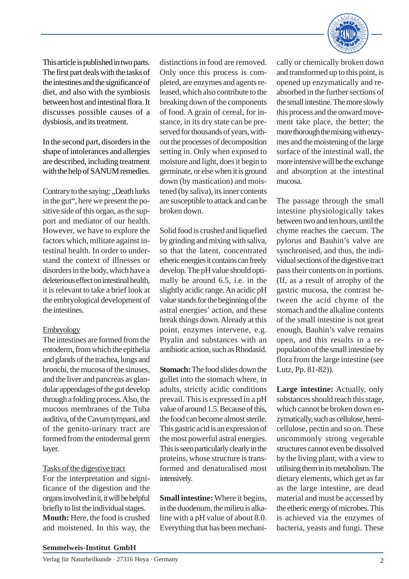

This article is published in two parts. The first part deals with the tasks of the intestines and the significance of diet, and also with the symbiosis between host and intestinal flora. It discusses possible causes of a dysbiosis, and its treatment.

In the second part, disorders in the shape of intolerances and allergies are described, including treatment with the help of SANUM remedies.

Contrary to the saying: "Death lurks in the gut", here we present the positive side of this organ, as the support and mediator of our health. However, we have to explore the factors which, militate against intestinal health. In order to understand the context of illnesses or disorders in the body, which have a deleterious effect on intestinal health, it is relevant to take a brief look at the embryological development of the intestines.

#### Embryology

The intestines are formed from the entoderm, from which the epithelia and glands of the trachea, lungs and bronchi, the mucosa of the sinuses, and the liver and pancreas as glandular appendages of the gut develop through a folding process. Also, the mucous membranes of the Tuba auditiva, of the Cavum tympani, and of the genito-urinary tract are formed from the entodermal germ layer.

#### Tasks of the digestive tract

For the interpretation and significance of the digestion and the organs involved in it, it will be helpful briefly to list the individual stages. **Mouth:** Here, the food is crushed and moistened. In this way, the

distinctions in food are removed. Only once this process is completed, are enzymes and agents released, which also contribute to the breaking down of the components of food. A grain of cereal, for instance, in its dry state can be preserved for thousands of years, without the processes of decomposition setting in. Only when exposed to moisture and light, does it begin to germinate, or else when it is ground down (by mastication) and moistened (by saliva), its inner contents are susceptible to attack and can be broken down.

Solid food is crushed and liquefied by grinding and mixing with saliva, so that the latent, concentrated etheric energies it contains can freely develop. The pH value should optimally be around 6.5, i.e. in the slightly acidic range. An acidic pH value stands for the beginning of the astral energies' action, and these break things down. Already at this point, enzymes intervene, e.g. Ptyalin and substances with an antibiotic action, such as Rhodasid.

**Stomach:**The food slides down the gullet into the stomach where, in adults, strictly acidic conditions prevail. This is expressed in a pH value of around 1.5. Because of this, the food can become almost sterile. This gastric acid is an expression of the most powerful astral energies. This is seen particularly clearly in the proteins, whose structure is transformed and denaturalised most intensively.

**Small intestine:** Where it begins, in the duodenum, the milieu is alkaline with a pH value of about 8.0. Everything that has been mechanically or chemically broken down and transformed up to this point, is opened up enzymatically and reabsorbed in the further sections of the small intestine. The more slowly this process and the onward movement take place, the better; the more thorough the mixing with enzymes and the moistening of the large surface of the intestinal wall, the more intensive will be the exchange and absorption at the intestinal mucosa.

The passage through the small intestine physiologically takes between two and ten hours, until the chyme reaches the caecum. The pylorus and Bauhin's valve are synchronised, and thus, the individual sections of the digestive tract pass their contents on in portions. (If, as a result of atrophy of the gastric mucosa, the contrast between the acid chyme of the stomach and the alkaline contents of the small intestine is not great enough, Bauhin's valve remains open, and this results in a repopulation of the small intestine by flora from the large intestine (see Lutz, Pp. 81-82)).

**Large intestine:** Actually, only substances should reach this stage, which cannot be broken down enzymatically, such as cellulose, hemicellulose, pectin and so on. These uncommonly strong vegetable structures cannot even be dissolved by the living plant, with a view to utilising them in its metabolism. The dietary elements, which get as far as the large intestine, are dead material and must be accessed by the etheric energy of microbes. This is achieved via the enzymes of bacteria, yeasts and fungi. These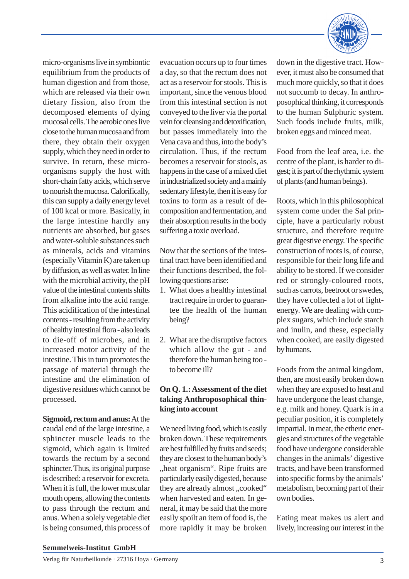

micro-organisms live in symbiontic equilibrium from the products of human digestion and from those, which are released via their own dietary fission, also from the decomposed elements of dying mucosal cells. The aerobic ones live close to the human mucosa and from there, they obtain their oxygen supply, which they need in order to survive. In return, these microorganisms supply the host with short-chain fatty acids, which serve to nourish the mucosa. Calorifically, this can supply a daily energy level of 100 kcal or more. Basically, in the large intestine hardly any nutrients are absorbed, but gases and water-soluble substances such as minerals, acids and vitamins (especially Vitamin K) are taken up by diffusion, as well as water. In line with the microbial activity, the pH value of the intestinal contents shifts from alkaline into the acid range. This acidification of the intestinal contents - resulting from the activity of healthy intestinal flora - also leads to die-off of microbes, and in increased motor activity of the intestine. This in turn promotes the passage of material through the intestine and the elimination of digestive residues which cannot be processed.

#### **Sigmoid, rectum and anus:**At the

caudal end of the large intestine, a sphincter muscle leads to the sigmoid, which again is limited towards the rectum by a second sphincter. Thus, its original purpose is described: a reservoir for excreta. When it is full, the lower muscular mouth opens, allowing the contents to pass through the rectum and anus. When a solely vegetable diet is being consumed, this process of evacuation occurs up to four times a day, so that the rectum does not act as a reservoir for stools. This is important, since the venous blood from this intestinal section is not conveyed to the liver via the portal vein for cleansing and detoxification, but passes immediately into the Vena cava and thus, into the body's circulation. Thus, if the rectum becomes a reservoir for stools, as happens in the case of a mixed diet in industrialized society and a mainly sedentary lifestyle, then it is easy for toxins to form as a result of decomposition and fermentation, and their absorption results in the body suffering a toxic overload.

Now that the sections of the intestinal tract have been identified and their functions described, the following questions arise:

- 1. What does a healthy intestinal tract require in order to guarantee the health of the human being?
- 2. What are the disruptive factors which allow the gut - and therefore the human being too to become ill?

## **On Q. 1.: Assessment of the diet taking Anthroposophical thinking into account**

We need living food, which is easily broken down. These requirements are best fulfilled by fruits and seeds; they are closest to the human body's "heat organism". Ripe fruits are particularly easily digested, because they are already almost "cooked" when harvested and eaten. In general, it may be said that the more easily spoilt an item of food is, the more rapidly it may be broken down in the digestive tract. However, it must also be consumed that much more quickly, so that it does not succumb to decay. In anthroposophical thinking, it corresponds to the human Sulphuric system. Such foods include fruits, milk, broken eggs and minced meat.

Food from the leaf area, i.e. the centre of the plant, is harder to digest; it is part of the rhythmic system of plants (and human beings).

Roots, which in this philosophical system come under the Sal principle, have a particularly robust structure, and therefore require great digestive energy. The specific construction of roots is, of course, responsible for their long life and ability to be stored. If we consider red or strongly-coloured roots, such as carrots, beetroot or swedes, they have collected a lot of lightenergy. We are dealing with complex sugars, which include starch and inulin, and these, especially when cooked, are easily digested by humans.

Foods from the animal kingdom, then, are most easily broken down when they are exposed to heat and have undergone the least change, e.g. milk and honey. Quark is in a peculiar position, it is completely impartial. In meat, the etheric energies and structures of the vegetable food have undergone considerable changes in the animals' digestive tracts, and have been transformed into specific forms by the animals' metabolism, becoming part of their own bodies.

Eating meat makes us alert and lively, increasing our interest in the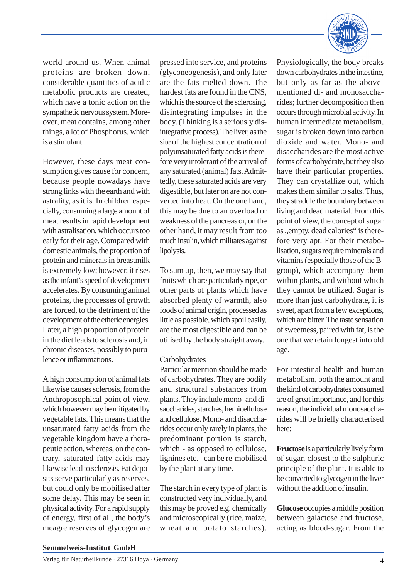

world around us. When animal proteins are broken down, considerable quantities of acidic metabolic products are created, which have a tonic action on the sympathetic nervous system. Moreover, meat contains, among other things, a lot of Phosphorus, which is a stimulant.

However, these days meat consumption gives cause for concern, because people nowadays have strong links with the earth and with astrality, as it is. In children especially, consuming a large amount of meat results in rapid development with astralisation, which occurs too early for their age. Compared with domestic animals, the proportion of protein and minerals in breastmilk is extremely low; however, it rises as the infant's speed of development accelerates. By consuming animal proteins, the processes of growth are forced, to the detriment of the development of the etheric energies. Later, a high proportion of protein in the diet leads to sclerosis and, in chronic diseases, possibly to purulence or inflammations.

A high consumption of animal fats likewise causes sclerosis, from the Anthroposophical point of view, which however may be mitigated by vegetable fats. This means that the unsaturated fatty acids from the vegetable kingdom have a therapeutic action, whereas, on the contrary, saturated fatty acids may likewise lead to sclerosis. Fat deposits serve particularly as reserves, but could only be mobilised after some delay. This may be seen in physical activity. For a rapid supply of energy, first of all, the body's meagre reserves of glycogen are

pressed into service, and proteins (glyconeogenesis), and only later are the fats melted down. The hardest fats are found in the CNS, which is the source of the sclerosing, disintegrating impulses in the body. (Thinking is a seriously disintegrative process). The liver, as the site of the highest concentration of polyunsaturated fatty acids is therefore very intolerant of the arrival of any saturated (animal) fats. Admittedly, these saturated acids are very digestible, but later on are not converted into heat. On the one hand, this may be due to an overload or weakness of the pancreas or, on the other hand, it may result from too much insulin, which militates against lipolysis.

To sum up, then, we may say that fruits which are particularly ripe, or other parts of plants which have absorbed plenty of warmth, also foods of animal origin, processed as little as possible, which spoil easily, are the most digestible and can be utilised by the body straight away.

## **Carbohydrates**

Particular mention should be made of carbohydrates. They are bodily and structural substances from plants. They include mono- and disaccharides, starches, hemicellulose and cellulose. Mono- and disaccharides occur only rarely in plants, the predominant portion is starch, which - as opposed to cellulose, lignines etc. - can be re-mobilised by the plant at any time.

The starch in every type of plant is constructed very individually, and this may be proved e.g. chemically and microscopically (rice, maize, wheat and potato starches).

Physiologically, the body breaks down carbohydrates in the intestine, but only as far as the abovementioned di- and monosaccharides; further decomposition then occurs through microbial activity. In human intermediate metabolism, sugar is broken down into carbon dioxide and water. Mono- and disaccharides are the most active forms of carbohydrate, but they also have their particular properties. They can crystallize out, which makes them similar to salts. Thus, they straddle the boundary between living and dead material. From this point of view, the concept of sugar as ., empty, dead calories" is therefore very apt. For their metabolisation, sugars require minerals and vitamins (especially those of the Bgroup), which accompany them within plants, and without which they cannot be utilized. Sugar is more than just carbohydrate, it is sweet, apart from a few exceptions, which are bitter. The taste sensation of sweetness, paired with fat, is the one that we retain longest into old age.

For intestinal health and human metabolism, both the amount and the kind of carbohydrates consumed are of great importance, and for this reason, the individual monosaccharides will be briefly characterised here:

**Fructose** is a particularly lively form of sugar, closest to the sulphuric principle of the plant. It is able to be converted to glycogen in the liver without the addition of insulin.

**Glucose** occupies a middle position between galactose and fructose, acting as blood-sugar. From the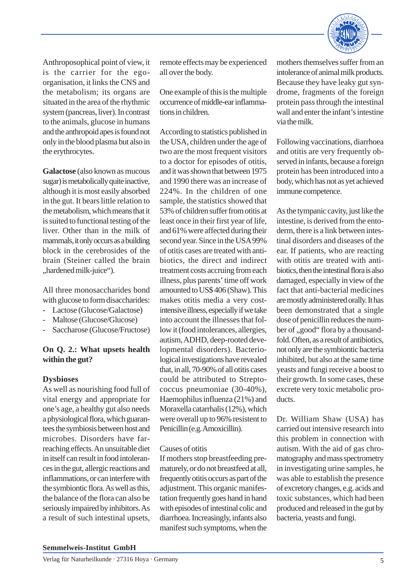

Anthroposophical point of view, it is the carrier for the egoorganisation, it links the CNS and the metabolism; its organs are situated in the area of the rhythmic system (pancreas, liver). In contrast to the animals, glucose in humans and the anthropoid apes is found not only in the blood plasma but also in the erythrocytes.

**Galactose** (also known as mucous sugar) is metabolically quite inactive, although it is most easily absorbed in the gut. It bears little relation to the metabolism, which means that it is suited to functional testing of the liver. Other than in the milk of mammals, it only occurs as a building block in the cerebrosides of the brain (Steiner called the brain "hardened milk-juice").

All three monosaccharides bond with glucose to form disaccharides:

- Lactose (Glucose/Galactose)
- Maltose (Glucose/Glucose)
- Saccharose (Glucose/Fructose)

# **On Q. 2.: What upsets health within the gut?**

## **Dysbioses**

As well as nourishing food full of vital energy and appropriate for one's age, a healthy gut also needs a physiological flora, which guarantees the symbiosis between host and microbes. Disorders have farreaching effects. An unsuitable diet in itself can result in food intolerances in the gut, allergic reactions and inflammations, or can interfere with the symbiontic flora. As well as this, the balance of the flora can also be seriously impaired by inhibitors. As a result of such intestinal upsets,

remote effects may be experienced all over the body.

One example of this is the multiple occurrence of middle-ear inflammations in children.

According to statistics published in the USA, children under the age of two are the most frequent visitors to a doctor for episodes of otitis, and it was shown that between 1975 and 1990 there was an increase of 224%. In the children of one sample, the statistics showed that 53% of children suffer from otitis at least once in their first year of life, and 61% were affected during their second year. Since in the USA 99% of otitis cases are treated with antibiotics, the direct and indirect treatment costs accruing from each illness, plus parents' time off work amounted to US\$ 406 (Shaw). This makes otitis media a very costintensive illness, especially if we take into account the illnesses that follow it (food intolerances, allergies, autism, ADHD, deep-rooted developmental disorders). Bacteriological investigations have revealed that, in all, 70-90% of all otitis cases could be attributed to Streptococcus pneumoniae (30-40%), Haemophilus influenza (21%) and Moraxella catarrhalis (12%), which were overall up to 96% resistent to Penicillin (e.g. Amoxicillin).

## Causes of otitis

If mothers stop breastfeeding prematurely, or do not breastfeed at all, frequently otitis occurs as part of the adjustment. This organic manifestation frequently goes hand in hand with episodes of intestinal colic and diarrhoea. Increasingly, infants also manifest such symptoms, when the mothers themselves suffer from an intolerance of animal milk products. Because they have leaky gut syndrome, fragments of the foreign protein pass through the intestinal wall and enter the infant's intestine via the milk.

Following vaccinations, diarrhoea and otitis are very frequently observed in infants, because a foreign protein has been introduced into a body, which has not as yet achieved immune competence.

As the tympanic cavity, just like the intestine, is derived from the entoderm, there is a link between intestinal disorders and diseases of the ear. If patients, who are reacting with otitis are treated with antibiotics, then the intestinal flora is also damaged, especially in view of the fact that anti-bacterial medicines are mostly administered orally. It has been demonstrated that a single dose of penicillin reduces the number of "good" flora by a thousandfold. Often, as a result of antibiotics, not only are the symbiontic bacteria inhibited, but also at the same time yeasts and fungi receive a boost to their growth. In some cases, these excrete very toxic metabolic products.

Dr. William Shaw (USA) has carried out intensive research into this problem in connection with autism. With the aid of gas chromatography and mass spectrometry in investigating urine samples, he was able to establish the presence of excretory changes, e.g. acids and toxic substances, which had been produced and released in the gut by bacteria, yeasts and fungi.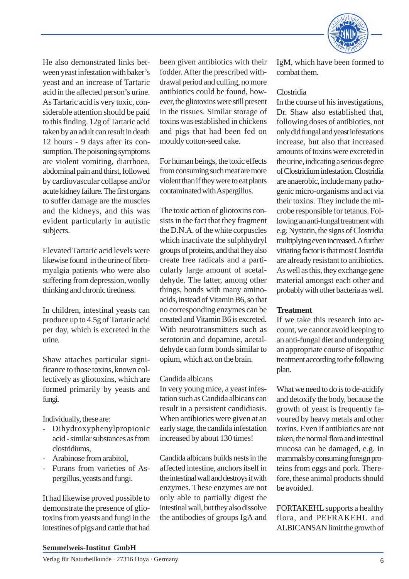

He also demonstrated links between yeast infestation with baker's yeast and an increase of Tartaric acid in the affected person's urine. As Tartaric acid is very toxic, considerable attention should be paid to this finding. 12g of Tartaric acid taken by an adult can result in death 12 hours - 9 days after its consumption. The poisoning symptoms are violent vomiting, diarrhoea, abdominal pain and thirst, followed by cardiovascular collapse and/or acute kidney failure. The first organs to suffer damage are the muscles and the kidneys, and this was evident particularly in autistic subjects.

Elevated Tartaric acid levels were likewise found in the urine of fibromyalgia patients who were also suffering from depression, woolly thinking and chronic tiredness.

In children, intestinal yeasts can produce up to 4.5g of Tartaric acid per day, which is excreted in the urine.

Shaw attaches particular significance to those toxins, known collectively as gliotoxins, which are formed primarily by yeasts and fungi.

Individually, these are:

- Dihydroxyphenylpropionic acid - similar substances as from clostridiums,
- Arabinose from arabitol,
- Furans from varieties of Aspergillus, yeasts and fungi.

It had likewise proved possible to demonstrate the presence of gliotoxins from yeasts and fungi in the intestines of pigs and cattle that had

been given antibiotics with their fodder. After the prescribed withdrawal period and culling, no more antibiotics could be found, however, the gliotoxins were still present in the tissues. Similar storage of toxins was established in chickens and pigs that had been fed on mouldy cotton-seed cake.

For human beings, the toxic effects from consuming such meat are more violent than if they were to eat plants contaminated with Aspergillus.

The toxic action of gliotoxins consists in the fact that they fragment the D.N.A. of the white corpuscles which inactivate the sulphhydryl groups of proteins, and that they also create free radicals and a particularly large amount of acetaldehyde. The latter, among other things, bonds with many aminoacids, instead of Vitamin B6, so that no corresponding enzymes can be created and Vitamin B6 is excreted. With neurotransmitters such as serotonin and dopamine, acetaldehyde can form bonds similar to opium, which act on the brain.

## Candida albicans

In very young mice, a yeast infestation such as Candida albicans can result in a persistent candidiasis. When antibiotics were given at an early stage, the candida infestation increased by about 130 times!

Candida albicans builds nests in the affected intestine, anchors itself in the intestinal wall and destroys it with enzymes. These enzymes are not only able to partially digest the intestinal wall, but they also dissolve the antibodies of groups IgA and

IgM, which have been formed to combat them.

## Clostridia

In the course of his investigations, Dr. Shaw also established that, following doses of antibiotics, not only did fungal and yeast infestations increase, but also that increased amounts of toxins were excreted in the urine, indicating a serious degree of Clostridium infestation. Clostridia are anaerobic, include many pathogenic micro-organisms and act via their toxins. They include the microbe responsible for tetanus. Following an anti-fungal treatment with e.g. Nystatin, the signs of Clostridia multiplying even increased. A further vitiating factor is that most Clostridia are already resistant to antibiotics. As well as this, they exchange gene material amongst each other and probably with other bacteria as well.

# **Treatment**

If we take this research into account, we cannot avoid keeping to an anti-fungal diet and undergoing an appropriate course of isopathic treatment according to the following plan.

What we need to do is to de-acidify and detoxify the body, because the growth of yeast is frequently favoured by heavy metals and other toxins. Even if antibiotics are not taken, the normal flora and intestinal mucosa can be damaged, e.g. in mammals by consuming foreign proteins from eggs and pork. Therefore, these animal products should be avoided.

FORTAKEHL supports a healthy flora, and PEFRAKEHL and ALBICANSAN limit the growth of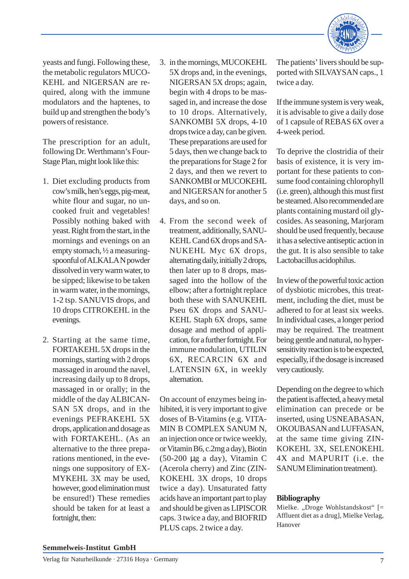

yeasts and fungi. Following these, the metabolic regulators MUCO-KEHL and NIGERSAN are required, along with the immune modulators and the haptenes, to build up and strengthen the body's powers of resistance.

The prescription for an adult, following Dr. Werthmann's Four-Stage Plan, might look like this:

- 1. Diet excluding products from cow's milk, hen's eggs, pig-meat, white flour and sugar, no uncooked fruit and vegetables! Possibly nothing baked with yeast. Right from the start, in the mornings and evenings on an empty stomach, ½ a measuringspoonful of ALKALA N powder dissolved in very warm water, to be sipped; likewise to be taken in warm water, in the mornings, 1-2 tsp. SANUVIS drops, and 10 drops CITROKEHL in the evenings.
- 2. Starting at the same time, FORTAKEHL 5X drops in the mornings, starting with 2 drops massaged in around the navel, increasing daily up to 8 drops, massaged in or orally; in the middle of the day ALBICAN-SAN 5X drops, and in the evenings PEFRAKEHL 5X drops, application and dosage as with FORTAKEHL. (As an alternative to the three preparations mentioned, in the evenings one suppository of EX-MYKEHL 3X may be used, however, good elimination must be ensured!) These remedies should be taken for at least a fortnight, then:
- 3. in the mornings, MUCOKEHL 5X drops and, in the evenings, NIGERSAN 5X drops; again, begin with 4 drops to be massaged in, and increase the dose to 10 drops. Alternatively, SANKOMBI 5X drops, 4-10 drops twice a day, can be given. These preparations are used for 5 days, then we change back to the preparations for Stage 2 for 2 days, and then we revert to SANKOMBI or MUCOKEHL and NIGERSAN for another 5 days, and so on.
- 4. From the second week of treatment, additionally, SANU-KEHL Cand 6X drops and SA-NUKEHL Myc 6X drops, alternating daily, initially 2 drops, then later up to 8 drops, massaged into the hollow of the elbow; after a fortnight replace both these with SANUKEHL Pseu 6X drops and SANU-KEHL Staph 6X drops, same dosage and method of application, for a further fortnight. For immune modulation, UTILIN 6X, RECARCIN 6X and LATENSIN 6X, in weekly alternation.

On account of enzymes being inhibited, it is very important to give doses of B-Vitamins (e.g. VITA-MIN B COMPLEX SANUM N, an injection once or twice weekly, or Vitamin B6, c.2mg a day), Biotin (50-200 µg a day), Vitamin C (Acerola cherry) and Zinc (ZIN-KOKEHL 3X drops, 10 drops twice a day). Unsaturated fatty acids have an important part to play and should be given as LIPISCOR caps. 3 twice a day, and BIOFRID PLUS caps. 2 twice a day.

The patients' livers should be supported with SILVAYSAN caps., 1 twice a day.

If the immune system is very weak, it is advisable to give a daily dose of 1 capsule of REBAS 6X over a 4-week period.

To deprive the clostridia of their basis of existence, it is very important for these patients to consume food containing chlorophyll (i.e. green), although this must first be steamed. Also recommended are plants containing mustard oil glycosides. As seasoning, Marjoram should be used frequently, because it has a selective antiseptic action in the gut. It is also sensible to take Lactobacillus acidophilus.

In view of the powerful toxic action of dysbiotic microbes, this treatment, including the diet, must be adhered to for at least six weeks. In individual cases, a longer period may be required. The treatment being gentle and natural, no hypersensitivity reaction is to be expected, especially, if the dosage is increased very cautiously.

Depending on the degree to which the patient is affected, a heavy metal elimination can precede or be inserted, using USNEABASAN, OKOUBASAN and LUFFASAN, at the same time giving ZIN-KOKEHL 3X, SELENOKEHL 4X and MAPURIT (i.e. the SANUM Elimination treatment).

# **Bibliography**

Mielke. "Droge Wohlstandskost"  $[=$ Affluent diet as a drug], Mielke Verlag, Hanover